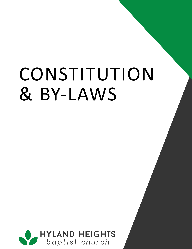# & BY-LAWS CONSTITUTION

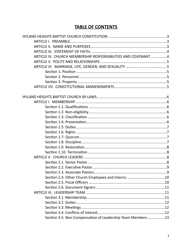# **TABLE OF CONTENTS**

| ARTICLE IV. CHURCH MEMBERSHIP RESPONSIBILITIES AND COVENANT4 |  |
|--------------------------------------------------------------|--|
|                                                              |  |
|                                                              |  |
|                                                              |  |
|                                                              |  |
|                                                              |  |
|                                                              |  |
|                                                              |  |
|                                                              |  |
|                                                              |  |
|                                                              |  |
|                                                              |  |
|                                                              |  |
|                                                              |  |
|                                                              |  |
|                                                              |  |
|                                                              |  |
|                                                              |  |
|                                                              |  |
|                                                              |  |
|                                                              |  |
|                                                              |  |
|                                                              |  |
|                                                              |  |
|                                                              |  |
|                                                              |  |
|                                                              |  |
|                                                              |  |
|                                                              |  |
|                                                              |  |
|                                                              |  |
| Section 3.5. Non Compensation of Leadership Team Members13   |  |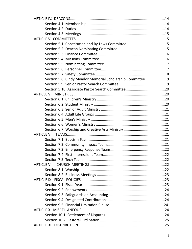| Section 5.8. Cindy Meador Memorial Scholarship Committee19 |  |
|------------------------------------------------------------|--|
|                                                            |  |
|                                                            |  |
|                                                            |  |
|                                                            |  |
|                                                            |  |
|                                                            |  |
|                                                            |  |
|                                                            |  |
|                                                            |  |
|                                                            |  |
|                                                            |  |
|                                                            |  |
|                                                            |  |
|                                                            |  |
|                                                            |  |
|                                                            |  |
|                                                            |  |
|                                                            |  |
|                                                            |  |
|                                                            |  |
|                                                            |  |
|                                                            |  |
|                                                            |  |
|                                                            |  |
|                                                            |  |
|                                                            |  |
|                                                            |  |
|                                                            |  |
|                                                            |  |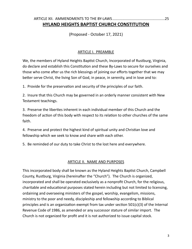# ARTICLE XII. AMMENDMENTS TO THE BY-LAWS...................................................25 **HYLAND HEIGHTS BAPTIST CHURCH CONSTITUTION**

(Proposed - October 17, 2021)

#### ARTICLE I. PREAMBLE

We, the members of Hyland Heights Baptist Church, Incorporated of Rustburg, Virginia, do declare and establish this Constitution and these By-Laws to secure for ourselves and those who come after us the rich blessings of joining our efforts together that we may better serve Christ, the living Son of God, in peace, in serenity, and in love and to:

1. Provide for the preservation and security of the principles of our faith.

2. Insure that this Church may be governed in an orderly manner consistent with New Testament teachings.

3. Preserve the liberties inherent in each individual member of this Church and the freedom of action of this body with respect to its relation to other churches of the same faith.

4. Preserve and protect the highest kind of spiritual unity and Christian love and fellowship which we seek to know and share with each other.

5. Be reminded of our duty to take Christ to the lost here and everywhere.

#### ARTICLE II. NAME AND PURPOSES

This incorporated body shall be known as the Hyland Heights Baptist Church, Campbell County, Rustburg, Virginia (hereinafter the "Church"). The Church is organized, incorporated and shall be operated exclusively as a nonprofit Church, for the religious, charitable and educational purposes stated herein including but not limited to licensing, ordaining and overseeing ministers of the gospel, worship, evangelism, missions, ministry to the poor and needy, discipleship and fellowship according to Biblical principles and is an organization exempt from tax under section 501(c)(3) of the Internal Revenue Code of 1986, as amended or any successor stature of similar import. The Church is not organized for profit and it is not authorized to issue capital stock.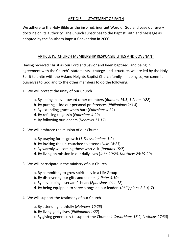#### ARTICLE III. STATEMENT OF FAITH

We adhere to the Holy Bible as the inspired, inerrant Word of God and base our every doctrine on its authority. The Church subscribes to the Baptist Faith and Message as adopted by the Southern Baptist Convention in 2000.

#### ARTICLE IV. CHURCH MEMBERSHIP RESPONSIBILITIES AND COVENANT

Having received Christ as our Lord and Savior and been baptized, and being in agreement with the Church's statements, strategy, and structure, we are led by the Holy Spirit to unite with the Hyland Heights Baptist Church family. In doing so, we commit ourselves to God and to the other members to do the following:

- 1. We will protect the unity of our Church
	- a. By acting in love toward other members (*Romans 15:5, 1 Peter 1:22*)
	- b. By putting aside our personal preferences (*Philippians 2:3-4*)
	- c. By extending grace when hurt (*Ephesians 4:32*)
	- d. By refusing to gossip (*Ephesians 4:29*)
	- e. By following our leaders (*Hebrews 13:17*)
- 2. We will embrace the mission of our Church
	- a. By praying for its growth (*1 Thessalonians 1:2*)
	- b. By inviting the un-churched to attend (*Luke 14:23*)
	- c. By warmly welcoming those who visit (*Romans 15:7*)
	- d. By living on mission in our daily lives (*John 20:20, Matthew 28:19-20*)
- 3. We will participate in the ministry of our Church
	- a. By committing to grow spiritually in a Life Group
	- b. By discovering our gifts and talents (*1 Peter 4:10*)
	- c. By developing a servant's heart (*Ephesians 4:11-12*)
	- d. By being equipped to serve alongside our leaders (*Philippians 2:3-4, 7*)
- 4. We will support the testimony of our Church
	- a. By attending faithfully (*Hebrews 10:25*)
	- b. By living godly lives (*Philippians 1:27*)
	- c. By giving generously to support the Church (*1 Corinthians 16:2, Leviticus 27:30*)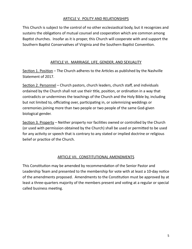#### ARTICLE V. POLITY AND RELATIONSHIPS

This Church is subject to the control of no other ecclesiastical body, but it recognizes and sustains the obligations of mutual counsel and cooperation which are common among Baptist churches. Insofar as it is proper, this Church will cooperate with and support the Southern Baptist Conservatives of Virginia and the Southern Baptist Convention.

### ARTICLE VI. MARRIAGE, LIFE, GENDER, AND SEXUALITY

Section 1. Position – The Church adheres to the Articles as published by the Nashville Statement of 2017.

Section 2. Personnel – Church pastors, church leaders, church staff, and individuals ordained by the Church shall not use their title, position, or ordination in a way that contradicts or undermines the teachings of the Church and the Holy Bible by, including but not limited to, officiating over, participating in, or solemnizing weddings or ceremonies joining more than two people or two people of the same God-given biological gender.

Section 3. Property – Neither property nor facilities owned or controlled by the Church (or used with permission obtained by the Church) shall be used or permitted to be used for any activity or speech that is contrary to any stated or implied doctrine or religious belief or practice of the Church.

# ARTICLE VII. CONSTITUTIONAL AMENDMENTS

This Constitution may be amended by recommendation of the Senior Pastor and Leadership Team and presented to the membership for vote with at least a 10-day notice of the amendments proposed. Amendments to the Constitution must be approved by at least a three-quarters majority of the members present and voting at a regular or special called business meeting.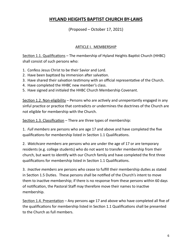# **HYLAND HEIGHTS BAPTIST CHURCH BY-LAWS**

(Proposed – October 17, 2021)

#### ARTICLE I. MEMBERSHIP

Section 1.1. Qualifications – The membership of Hyland Heights Baptist Church (HHBC) shall consist of such persons who:

- 1. Confess Jesus Christ to be their Savior and Lord.
- 2. Have been baptized by immersion after salvation.
- 3. Have shared their salvation testimony with an official representative of the Church.
- 4. Have completed the HHBC new member's class.
- 5. Have signed and initialed the HHBC Church Membership Covenant.

Section 1.2. Non-eligibility - Persons who are actively and unrepentantly engaged in any sinful practice or practice that contradicts or undermines the doctrines of the Church are not eligible for membership with the Church.

Section 1.3. Classification – There are three types of membership:

1. *Full members* are persons who are age 17 and above and have completed the five qualifications for membership listed in Section 1.1 Qualifications.

2. *Watchcare members* are persons who are under the age of 17 or are temporary residents (e.g. college students) who do not want to transfer membership from their church, but want to identify with our Church family and have completed the first three qualifications for membership listed in Section 1.1 Qualifications.

3. *Inactive members* are persons who cease to fulfill their membership duties as stated in Section 1.5 Duties. These persons shall be notified of the Church's intent to move them to inactive membership; if there is no response from these persons within 60 days of notification, the Pastoral Staff may therefore move their names to inactive membership.

Section 1.4. Presentation - Any persons age 17 and above who have completed all five of the qualifications for membership listed in Section 1.1 Qualifications shall be presented to the Church as full members.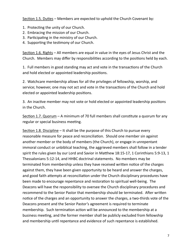Section 1.5. Duties – Members are expected to uphold the Church Covenant by:

- 1. Protecting the unity of our Church.
- 2. Embracing the mission of our Church.
- 3. Participating in the ministry of our Church.
- 4. Supporting the testimony of our Church.

Section 1.6. Rights – All members are equal in value in the eyes of Jesus Christ and the Church. Members may differ by responsibilities according to the positions held by each.

1. Full members in good standing may act and vote in the transactions of the Church and hold elected or appointed leadership positions.

2. Watchcare membership allows for all the privileges of fellowship, worship, and service; however, one may not act and vote in the transactions of the Church and hold elected or appointed leadership positions.

3. An inactive member may not vote or hold elected or appointed leadership positions in the Church.

Section 1.7. Quorum – A minimum of 70 full members shall constitute a quorum for any regular or special business meeting.

Section 1.8. Discipline – It shall be the purpose of this Church to pursue every reasonable measure for peace and reconciliation. Should one member sin against another member or the body of members (the Church), or engage in unrepentant immoral conduct or unbiblical teaching, the aggrieved members shall follow in a tender spirit the rules given by our Lord and Savior in Matthew 18:15-17, 1 Corinthians 5:9-13, 1 Thessalonians 5:12-14, and HHBC doctrinal statements. No members may be terminated from membership unless they have received written notice of the charges against them, they have been given opportunity to be heard and answer the charges, and good faith attempts at reconciliation under the Church disciplinary procedures have been made to encourage repentance and restoration to spiritual well-being. The Deacons will have the responsibility to oversee the Church disciplinary procedures and recommend to the Senior Pastor that membership should be terminated. After written notice of the charges and an opportunity to answer the charges, a two-thirds vote of the Deacons present and the Senior Pastor's agreement is required to terminate membership. Such termination action will be announced to the membership at a business meeting, and the former member shall be publicly excluded from fellowship and membership until repentance and evidence of such repentance is established.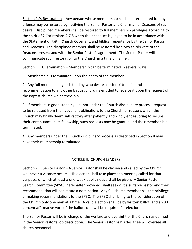Section 1.9. Restoration – Any person whose membership has been terminated for any offense may be restored by notifying the Senior Pastor and Chairman of Deacons of such desire. Disciplined members shall be restored to full membership privileges according to the spirit of 2 Corinthians 2:7,8 when their conduct is judged to be in accordance with the Statement of Faith, Church Covenant, and biblical repentance by the Senior Pastor and Deacons. The disciplined member shall be restored by a two-thirds vote of the Deacons present and with the Senior Pastor's agreement. The Senior Pastor will communicate such restoration to the Church in a timely manner.

Section 1.10. Termination – Membership can be terminated in several ways:

1. Membership is terminated upon the death of the member.

2. Any full members in good standing who desire a letter of transfer and recommendation to any other Baptist church is entitled to receive it upon the request of the Baptist church which they join.

3. If members in good standing (i.e. not under the Church disciplinary process) request to be released from their covenant obligations to the Church for reasons which the Church may finally deem satisfactory after patiently and kindly endeavoring to secure their continuance in its fellowship, such requests may be granted and their membership terminated.

4. Any members under the Church disciplinary process as described in Section 8 may have their membership terminated.

# ARTICLE II. CHURCH LEADERS

Section 2.1. Senior Pastor – A Senior Pastor shall be chosen and called by the Church whenever a vacancy occurs. His election shall take place at a meeting called for that purpose, of which at least a one-week public notice shall be given. A Senior Pastor Search Committee (SPSC), hereinafter provided, shall seek out a suitable pastor and their recommendation will constitute a nomination. Any full church member has the privilege of making recommendations to the SPSC. The SPSC shall bring to the consideration of the Church only one man at a time. A valid election shall be by written ballot, and an 80 percent affirmative vote of the ballots cast will be required for election.

The Senior Pastor will be in charge of the welfare and oversight of the Church as defined in the Senior Pastor's job description. The Senior Pastor or his designee will oversee all church personnel.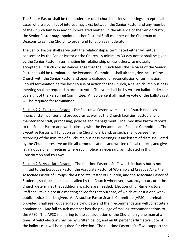The Senior Pastor shall be the moderator of all church business meetings, except in all cases where a conflict of interest may exist between the Senior Pastor and any member of the Church family in any church-related matter. In the absence of the Senior Pastor, the Senior Pastor may appoint another Pastoral Staff member or the Chairman of Deacons to call the Church to order and function as moderator.

The Senior Pastor shall serve until the relationship is terminated either by mutual consent or by the Senior Pastor or the Church. A minimum 30-day notice shall be given by the Senior Pastor in terminating his relationship unless otherwise mutually acceptable. If such circumstances arise that the Church feels the services of the Senior Pastor should be terminated, the Personnel Committee shall air the grievances of the Church with the Senior Pastor and open a dialogue for reconciliation or termination. Should termination be the best course of action for the Church, a called church business meeting shall be required in order to vote. The vote shall be by written ballot under the oversight of the Personnel Committee. An 80 percent affirmative vote of the ballots cast will be required for termination.

Section 2.2. Executive Pastor – The Executive Pastor oversees the Church finances, financial staff, policies and procedures as well as the Church facilities, custodial and maintenance staff, purchasing, policies and management. The Executive Pastor reports to the Senior Pastor and works closely with the Personnel and Finance Committees. The Executive Pastor will function as the Church Clerk and, as such, shall oversee the recording of the minutes of all church business meetings, issue letters of dismissal voted by the Church, preserve on file all communications and written official reports, and give legal notice of all meetings where such notice is necessary, as indicated in this Constitution and By-Laws.

Section 2.3. Associate Pastors - The full-time Pastoral Staff, which includes but is not limited to the Executive Pastor, the Associate Pastor of Worship and Creative Arts, the Associate Pastor of Groups, the Associate Pastor of Children, and the Associate Pastor of Students, shall be chosen and called by the Church whenever a vacancy occurs or if the Church determines that additional pastors are needed. Election of full-time Pastoral Staff shall take place at a meeting called for that purpose, of which at least a one-week public notice shall be given. An Associate Pastor Search Committee (APSC), hereinafter provided, shall seek out a suitable candidate and their recommendation will constitute a nomination. Any full church member has the privilege of making recommendations to the APSC. The APSC shall bring to the consideration of the Church only one man at a time. A valid election shall be by written ballot, and an 80 percent affirmative vote of the ballots cast will be required for election. The full-time Pastoral Staff will support the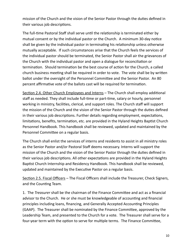mission of the Church and the vision of the Senior Pastor through the duties defined in their various job descriptions.

The full-time Pastoral Staff shall serve until the relationship is terminated either by mutual consent or by the individual pastor or the Church. A minimum 30-day notice shall be given by the individual pastor in terminating his relationship unless otherwise mutually acceptable. If such circumstances arise that the Church feels the services of the individual pastor should be terminated, the Senior Pastor shall air the grievances of the Church with the individual pastor and open a dialogue for reconciliation or termination. Should termination be the best course of action for the Church, a called church business meeting shall be required in order to vote. The vote shall be by written ballot under the oversight of the Personnel Committee and the Senior Pastor. An 80 percent affirmative vote of the ballots cast will be required for termination.

Section 2.4. Other Church Employees and Interns – The Church shall employ additional staff as needed. They shall include full-time or part-time, salary or hourly, personnel working in ministry, facilities, clerical, and support roles. The Church staff will support the mission of the Church and the vision of the Senior Pastor through the duties defined in their various job descriptions. Further details regarding employment, expectations, limitations, benefits, termination, etc. are provided in the Hyland Heights Baptist Church Personnel Handbook. This handbook shall be reviewed, updated and maintained by the Personnel Committee on a regular basis.

The Church shall enlist the services of interns and residents to assist in all ministry roles as the Senior Pastor and/or Pastoral Staff deems necessary. Interns will support the mission of the Church and the vision of the Senior Pastor through the duties defined in their various job descriptions. All other expectations are provided in the Hyland Heights Baptist Church Internship and Residency Handbook. This handbook shall be reviewed, updated and maintained by the Executive Pastor on a regular basis.

Section 2.5. Fiscal Officers – The Fiscal Officers shall include the Treasurer, Check Signers, and the Counting Team.

1. The *Treasurer* shall be the chairman of the Finance Committee and act as a financial advisor to the Church. He or she must be knowledgeable of accounting and financial principles including loans, financing, and Generally Accepted Accounting Principles (GAAP). The Treasurer shall be nominated by the Finance Committee, approved by the Leadership Team, and presented to the Church for a vote. The Treasurer shall serve for a four-year term with the option to serve for multiple terms. The Finance Committee,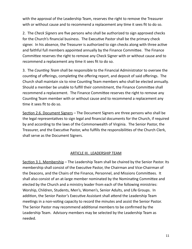with the approval of the Leadership Team, reserves the right to remove the Treasurer with or without cause and to recommend a replacement any time it sees fit to do so.

2. The *Check Signers* are five persons who shall be authorized to sign approved checks for the Church's financial business. The Executive Pastor shall be the primary check signer. In his absence, the Treasurer is authorized to sign checks along with three active and faithful full members appointed annually by the Finance Committee. The Finance Committee reserves the right to remove any Check Signer with or without cause and to recommend a replacement any time it sees fit to do so.

3. The *Counting Team* shall be responsible to the Financial Administrator to oversee the counting of offerings, completing the offering report, and deposit of said offerings. The Church shall maintain six to nine Counting Team members who shall be elected annually. Should a member be unable to fulfill their commitment, the Finance Committee shall recommend a replacement. The Finance Committee reserves the right to remove any Counting Team member with or without cause and to recommend a replacement any time it sees fit to do so.

Section 2.6. Document Signers – The Document Signers are three persons who shall be the legal representatives to sign legal and financial documents for the Church, if required by and according to the laws of the Commonwealth of Virginia. The Senior Pastor, the Treasurer, and the Executive Pastor, who fulfills the responsibilities of the Church Clerk, shall serve as the Document Signers.

#### ARTICLE III. LEADERSHIP TEAM

Section 3.1. Membership – The Leadership Team shall be chaired by the Senior Pastor. Its membership shall consist of the Executive Pastor, the Chairman and Vice-Chairman of the Deacons, and the Chairs of the Finance, Personnel, and Missions Committees. It shall also consist of an at-large member nominated by the Nominating Committee and elected by the Church and a ministry leader from each of the following ministries: Worship, Children, Students, Men's, Women's, Senior Adults, and Life Groups. In addition, the Senior Pastor's Executive Assistant shall attend the Leadership Team meetings in a non-voting capacity to record the minutes and assist the Senior Pastor. The Senior Pastor may recommend additional members to be confirmed by the Leadership Team. Advisory members may be selected by the Leadership Team as needed.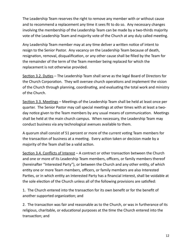The Leadership Team reserves the right to remove any member with or without cause and to recommend a replacement any time it sees fit to do so. Any necessary changes involving the membership of the Leadership Team can be made by a two-thirds majority vote of the Leadership Team and majority vote of the Church at any duly called meeting.

Any Leadership Team member may at any time deliver a written notice of intent to resign to the Senior Pastor. Any vacancy on the Leadership Team because of death, resignation, removal, disqualification, or any other cause shall be filled by the Team for the remainder of the term of the Team member being replaced for which the replacement is not otherwise provided.

Section 3.2. Duties – The Leadership Team shall serve as the legal Board of Directors for the Church Corporation. They will oversee church operations and implement the vision of the Church through planning, coordinating, and evaluating the total work and ministry of the Church.

Section 3.3. Meetings – Meetings of the Leadership Team shall be held at least once per quarter. The Senior Pastor may call special meetings at other times with at least a twoday notice given to the Team members by any usual means of communication. Meetings shall be held at the main church campus. When necessary, the Leadership Team may conduct business via any technological avenues available to them.

A quorum shall consist of 51 percent or more of the current voting Team members for the transaction of business at a meeting. Every action taken or decision made by a majority of the Team shall be a valid action.

Section 3.4. Conflicts of Interest - A contract or other transaction between the Church and one or more of its Leadership Team members, officers, or family members thereof (hereinafter "Interested Party"), or between the Church and any other entity, of which entity one or more Team members, officers, or family members are also Interested Parties, or in which entity an Interested Party has a financial interest, shall be voidable at the sole election of the Church unless all of the following provisions are satisfied:

1. The Church entered into the transaction for its own benefit or for the benefit of another supported organization; and

2. The transaction was fair and reasonable as to the Church, or was in furtherance of its religious, charitable, or educational purposes at the time the Church entered into the transaction; and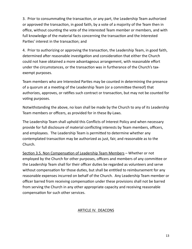3. Prior to consummating the transaction, or any part, the Leadership Team authorized or approved the transaction, in good faith, by a vote of a majority of the Team then in office, without counting the vote of the interested Team member or members, and with full knowledge of the material facts concerning the transaction and the Interested Parties' interest in the transaction; and

4. Prior to authorizing or approving the transaction, the Leadership Team, in good faith, determined after reasonable investigation and consideration that either the Church could not have obtained a more advantageous arrangement, with reasonable effort under the circumstances, or the transaction was in furtherance of the Church's taxexempt purposes.

Team members who are Interested Parties may be counted in determining the presence of a quorum at a meeting of the Leadership Team (or a committee thereof) that authorizes, approves, or ratifies such contract or transaction, but may not be counted for voting purposes.

Notwithstanding the above, no loan shall be made by the Church to any of its Leadership Team members or officers, as provided for in these By-Laws.

The Leadership Team shall uphold this Conflicts of Interest Policy and when necessary provide for full disclosure of material conflicting interests by Team members, officers, and employees. The Leadership Team is permitted to determine whether any contemplated transaction may be authorized as just, fair, and reasonable as to the Church.

Section 3.5. Non Compensation of Leadership Team Members – Whether or not employed by the Church for other purposes, officers and members of any committee or the Leadership Team shall for their officer duties be regarded as volunteers and serve without compensation for those duties, but shall be entitled to reimbursement for any reasonable expenses incurred on behalf of the Church. Any Leadership Team member or officer barred from receiving compensation under these provisions shall not be barred from serving the Church in any other appropriate capacity and receiving reasonable compensation for such other services.

# ARTICLE IV. DEACONS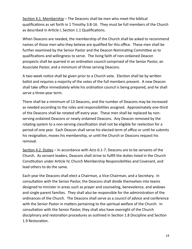Section 4.1. Membership – The Deacons shall be men who meet the biblical qualifications as set forth in 1 Timothy 3:8-16. They must be full members of the Church as described in Article I, Section 1.1 Qualifications.

When Deacons are needed, the membership of the Church shall be asked to recommend names of those men who they believe are qualified for this office. These men shall be further examined by the Senior Pastor and the Deacon Nominating Committee as to qualifications and willingness to serve. The living faith of non-ordained Deacon prospects shall be queried in an ordination council comprised of the Senior Pastor, an Associate Pastor, and a minimum of three serving Deacons.

A two-week notice shall be given prior to a Church vote. Election shall be by written ballot and requires a majority of the votes of the full members present. A new Deacon shall take office immediately while his ordination council is being prepared, and he shall serve a three-year term.

There shall be a minimum of 13 Deacons, and the number of Deacons may be increased as needed according to the roles and responsibilities assigned. Approximately one-third of the Deacons shall be rotated off every year. These men shall be replaced by nonserving ordained Deacons or newly ordained Deacons. Any Deacon removed by the rotating system to a non-serving classification shall not be eligible for reelection for a period of one year. Each Deacon shall serve his elected term of office or until he submits his resignation, moves his membership, or until the Church or Deacons request his removal.

Section 4.2. Duties – In accordance with Acts 6:1-7, Deacons are to be servants of the Church. As servant leaders, Deacons shall strive to fulfill the duties listed in the Church Constitution under Article IV, Church Membership Responsibilities and Covenant, and lead others to do the same.

Each year the Deacons shall elect a Chairman, a Vice-Chairman, and a Secretary. In consultation with the Senior Pastor, the Deacons shall divide themselves into teams designed to minister in areas such as prayer and counseling, benevolence, and widows and single parent families. They shall also be responsible for the administration of the ordinances of the Church. The Deacons shall serve as a council of advice and conference with the Senior Pastor in matters pertaining to the spiritual welfare of the Church. In consultation with the Senior Pastor, they shall also have oversight of the Church disciplinary and restoration procedures as outlined in Section 1.8 Discipline and Section 1.9 Restoration.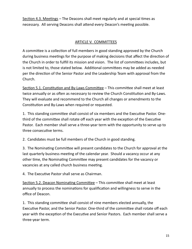Section 4.3. Meetings – The Deacons shall meet regularly and at special times as necessary. All serving Deacons shall attend every Deacon's meeting possible.

### ARTICLE V. COMMITTEES

A committee is a collection of full members in good standing approved by the Church during business meetings for the purpose of making decisions that affect the direction of the Church in order to fulfill its mission and vision. The list of committees includes, but is not limited to, those stated below. Additional committees may be added as needed per the direction of the Senior Pastor and the Leadership Team with approval from the Church.

Section 5.1. Constitution and By-Laws Committee – This committee shall meet at least twice annually or as often as necessary to review the Church Constitution and By-Laws. They will evaluate and recommend to the Church all changes or amendments to the Constitution and By-Laws when required or requested.

1. This standing committee shall consist of six members and the Executive Pastor. Onethird of the committee shall rotate off each year with the exception of the Executive Pastor. Each member shall serve a three-year term with the opportunity to serve up to three consecutive terms.

2. Candidates must be full members of the Church in good standing.

3. The Nominating Committee will present candidates to the Church for approval at the last quarterly business meeting of the calendar year. Should a vacancy occur at any other time, the Nominating Committee may present candidates for the vacancy or vacancies at any called church business meeting.

4. The Executive Pastor shall serve as Chairman.

Section 5.2. Deacon Nominating Committee – This committee shall meet at least annually to process the nominations for qualification and willingness to serve in the office of Deacon.

1. This standing committee shall consist of nine members elected annually, the Executive Pastor, and the Senior Pastor. One-third of the committee shall rotate off each year with the exception of the Executive and Senior Pastors. Each member shall serve a three-year term.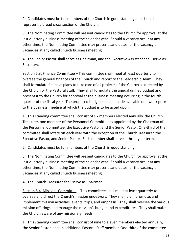2. Candidates must be full members of the Church in good standing and should represent a broad cross section of the Church.

3. The Nominating Committee will present candidates to the Church for approval at the last quarterly business meeting of the calendar year. Should a vacancy occur at any other time, the Nominating Committee may present candidates for the vacancy or vacancies at any called church business meeting.

4. The Senior Pastor shall serve as Chairman, and the Executive Assistant shall serve as Secretary.

Section 5.3. Finance Committee – This committee shall meet at least quarterly to oversee the general finances of the Church and report to the Leadership Team. They shall formulate financial plans to take care of all projects of the Church as directed by the Church or the Pastoral Staff. They shall formulate the annual unified budget and present it to the Church for approval at the business meeting occurring in the fourth quarter of the fiscal year. The proposed budget shall be made available one week prior to the business meeting at which the budget is to be acted upon.

1. This standing committee shall consist of six members elected annually, the Church Treasurer, one member of the Personnel Committee as appointed by the Chairman of the Personnel Committee, the Executive Pastor, and the Senior Pastor. One-third of the committee shall rotate off each year with the exception of the Church Treasurer, the Executive Pastor, and Senior Pastor. Each member shall serve a three-year term.

2. Candidates must be full members of the Church in good standing.

3. The Nominating Committee will present candidates to the Church for approval at the last quarterly business meeting of the calendar year. Should a vacancy occur at any other time, the Nominating Committee may present candidates for the vacancy or vacancies at any called church business meeting.

4. The Church Treasurer shall serve as Chairman.

Section 5.4. Missions Committee – This committee shall meet at least quarterly to oversee and direct the Church's mission endeavors. They shall plan, promote, and implement mission activities, events, trips, and emphasis. They shall oversee the various mission offerings and manage the mission's budget and expenditures. They shall make the Church aware of any missionary needs.

1. This standing committee shall consist of nine to eleven members elected annually, the Senior Pastor, and an additional Pastoral Staff member. One-third of the committee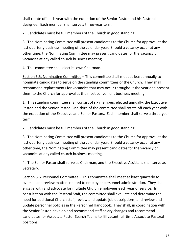shall rotate off each year with the exception of the Senior Pastor and his Pastoral designee. Each member shall serve a three-year term.

2. Candidates must be full members of the Church in good standing.

3. The Nominating Committee will present candidates to the Church for approval at the last quarterly business meeting of the calendar year. Should a vacancy occur at any other time, the Nominating Committee may present candidates for the vacancy or vacancies at any called church business meeting.

4. This committee shall elect its own Chairman.

Section 5.5. Nominating Committee – This committee shall meet at least annually to nominate candidates to serve on the standing committees of the Church. They shall recommend replacements for vacancies that may occur throughout the year and present them to the Church for approval at the most convenient business meeting.

1. This standing committee shall consist of six members elected annually, the Executive Pastor, and the Senior Pastor. One-third of the committee shall rotate off each year with the exception of the Executive and Senior Pastors. Each member shall serve a three-year term.

2. Candidates must be full members of the Church in good standing.

3. The Nominating Committee will present candidates to the Church for approval at the last quarterly business meeting of the calendar year. Should a vacancy occur at any other time, the Nominating Committee may present candidates for the vacancy or vacancies at any called church business meeting.

4. The Senior Pastor shall serve as Chairman, and the Executive Assistant shall serve as Secretary.

Section 5.6. Personnel Committee – This committee shall meet at least quarterly to oversee and review matters related to employee personnel administration. They shall engage with and advocate for multiple Church employees each year of service. In consultation with the Pastoral Staff, the committee shall evaluate and determine the need for additional Church staff, review and update job descriptions, and review and update personnel policies in the Personnel Handbook. They shall, in coordination with the Senior Pastor, develop and recommend staff salary changes and recommend candidates for Associate Pastor Search Teams to fill vacant full-time Associate Pastoral positions.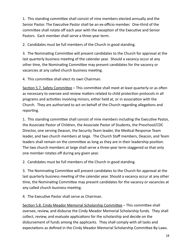1. This standing committee shall consist of nine members elected annually and the Senior Pastor. The Executive Pastor shall be an ex-officio member. One-third of the committee shall rotate off each year with the exception of the Executive and Senior Pastors. Each member shall serve a three-year term.

2. Candidates must be full members of the Church in good standing.

3. The Nominating Committee will present candidates to the Church for approval at the last quarterly business meeting of the calendar year. Should a vacancy occur at any other time, the Nominating Committee may present candidates for the vacancy or vacancies at any called church business meeting.

4. This committee shall elect its own Chairman.

Section 5.7. Safety Committee – This committee shall meet at least quarterly or as often as necessary to oversee and review matters related to child protection protocols in all programs and activities involving minors, either held at, or in association with the Church. They are authorized to act on behalf of the Church regarding allegations and reporting.

1. This standing committee shall consist of nine members including the Executive Pastor, the Associate Pastor of Children, the Associate Pastor of Students, the Preschool/CDC Director, one serving Deacon, the Security Team leader, the Medical Response Team leader, and two church members at large. The Church Staff members, Deacon, and Team leaders shall remain on the committee as long as they are in their leadership position. The two church members at large shall serve a three-year term staggered so that only one member rotates off during any given year.

2. Candidates must be full members of the Church in good standing.

3. The Nominating Committee will present candidates to the Church for approval at the last quarterly business meeting of the calendar year. Should a vacancy occur at any other time, the Nominating Committee may present candidates for the vacancy or vacancies at any called church business meeting.

4. The Executive Pastor shall serve as Chairman.

Section 5.8. Cindy Meador Memorial Scholarship Committee – This committee shall oversee, review, and disburse the Cindy Meador Memorial Scholarship funds. They shall collect, review, and evaluate applications for the scholarship and decide on the disbursement of funds among the applicants. They shall comply with all tasks and expectations as defined in the Cindy Meador Memorial Scholarship Committee By-Laws.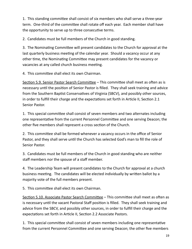1. This standing committee shall consist of six members who shall serve a three-year term. One-third of the committee shall rotate off each year. Each member shall have the opportunity to serve up to three consecutive terms.

2. Candidates must be full members of the Church in good standing.

3. The Nominating Committee will present candidates to the Church for approval at the last quarterly business meeting of the calendar year. Should a vacancy occur at any other time, the Nominating Committee may present candidates for the vacancy or vacancies at any called church business meeting.

4. This committee shall elect its own Chairman.

Section 5.9. Senior Pastor Search Committee – This committee shall meet as often as is necessary until the position of Senior Pastor is filled. They shall seek training and advice from the Southern Baptist Conservatives of Virginia (SBCV), and possibly other sources, in order to fulfill their charge and the expectations set forth in Article II, Section 2.1 Senior Pastor.

1. This special committee shall consist of seven members and two alternates including one representative from the current Personnel Committee and one serving Deacon; the other five members shall represent a cross section of the Church.

2. This committee shall be formed whenever a vacancy occurs in the office of Senior Pastor, and they shall serve until the Church has selected God's man to fill the role of Senior Pastor.

3. Candidates must be full members of the Church in good standing who are neither staff members nor the spouse of a staff member.

4. The Leadership Team will present candidates to the Church for approval at a church business meeting. The candidates will be elected individually by written ballot by a majority vote of the full members present.

5. This committee shall elect its own Chairman.

Section 5.10. Associate Pastor Search Committee – This committee shall meet as often as is necessary until the vacant Pastoral Staff position is filled. They shall seek training and advice from the SBCV, and possibly other sources, in order to fulfill their charge and the expectations set forth in Article II, Section 2.2 Associate Pastors.

1. This special committee shall consist of seven members including one representative from the current Personnel Committee and one serving Deacon; the other five members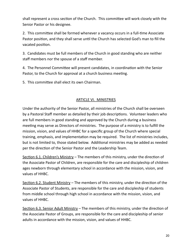shall represent a cross section of the Church. This committee will work closely with the Senior Pastor or his designee.

2. This committee shall be formed whenever a vacancy occurs in a full-time Associate Pastor position, and they shall serve until the Church has selected God's man to fill the vacated position.

3. Candidates must be full members of the Church in good standing who are neither staff members nor the spouse of a staff member.

4. The Personnel Committee will present candidates, in coordination with the Senior Pastor, to the Church for approval at a church business meeting.

5. This committee shall elect its own Chairman.

# ARTICLE VI. MINISTRIES

Under the authority of the Senior Pastor, all ministries of the Church shall be overseen by a Pastoral Staff member as detailed by their job descriptions. Volunteer leaders who are full members in good standing and approved by the Church during a business meeting may serve as Directors of ministries. The purpose of a ministry is to fulfill the mission, vision, and values of HHBC for a specific group of the Church where special training, emphasis, and implementation may be required. The list of ministries includes, but is not limited to, those stated below. Additional ministries may be added as needed per the direction of the Senior Pastor and the Leadership Team.

Section 6.1. Children's Ministry – The members of this ministry, under the direction of the Associate Pastor of Children, are responsible for the care and discipleship of children ages newborn through elementary school in accordance with the mission, vision, and values of HHBC.

Section 6.2. Student Ministry – The members of this ministry, under the direction of the Associate Pastor of Students, are responsible for the care and discipleship of students from middle school through high school in accordance with the mission, vision, and values of HHBC.

Section 6.3. Senior Adult Ministry – The members of this ministry, under the direction of the Associate Pastor of Groups, are responsible for the care and discipleship of senior adults in accordance with the mission, vision, and values of HHBC.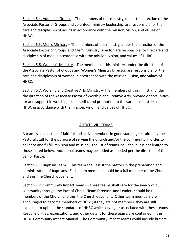Section 6.4. Adult Life Groups – The members of this ministry, under the direction of the Associate Pastor of Groups and volunteer ministry leadership, are responsible for the care and discipleship of adults in accordance with the mission, vision, and values of HHBC.

Section 6.5. Men's Ministry – The members of this ministry, under the direction of the Associate Pastor of Groups and Men's Ministry Director, are responsible for the care and discipleship of men in accordance with the mission, vision, and values of HHBC.

Section 6.6. Women's Ministry – The members of this ministry, under the direction of the Associate Pastor of Groups and Women's Ministry Director, are responsible for the care and discipleship of women in accordance with the mission, vision, and values of HHBC.

Section 6.7. Worship and Creative Arts Ministry – The members of this ministry, under the direction of the Associate Pastor of Worship and Creative Arts, provide opportunities for and support in worship, tech, media, and promotion to the various ministries of HHBC in accordance with the mission, vision, and values of HHBC.

#### ARTICLE VII. TEAMS

A team is a collection of faithful and active members in good standing recruited by the Pastoral Staff for the purpose of serving the Church and/or the community in order to advance and fulfill its vision and mission. The list of teams includes, but is not limited to, those stated below. Additional teams may be added as needed per the direction of the Senior Pastor.

Section 7.1. Baptism Team – This team shall assist the pastors in the preparation and administration of baptisms. Each team member should be a full member of the Church and sign the Church Covenant.

Section 7.2. Community Impact Teams - These teams shall care for the needy of our community through the love of Christ. Team Directors and Leaders should be full members of the Church and sign the Church Covenant. Other team members are encouraged to become members of HHBC; if they are not members, they are still expected to uphold the standards of HHBC while serving or associated with these teams. Responsibilities, expectations, and other details for these teams are contained in the HHBC Community Impact Manual. The Community Impact Teams could include but are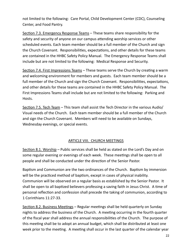not limited to the following: Care Portal, Child Development Center (CDC), Counseling Center, and Food Pantry.

Section 7.3. Emergency Response Teams – These teams share responsibility for the safety and security of anyone on our campus attending worship services or other scheduled events. Each team member should be a full member of the Church and sign the Church Covenant. Responsibilities, expectations, and other details for these teams are contained in the HHBC Safety Policy Manual. The Emergency Response Teams shall include but are not limited to the following: Medical Response and Security.

Section 7.4. First Impressions Teams – These teams serve the Church by creating a warm and welcoming environment for members and guests. Each team member should be a full member of the Church and sign the Church Covenant. Responsibilities, expectations, and other details for these teams are contained in the HHBC Safety Policy Manual. The First Impressions Teams shall include but are not limited to the following: Parking and Hosts.

Section 7.5. Tech Team – This team shall assist the Tech Director in the various Audio/ Visual needs of the Church. Each team member should be a full member of the Church and sign the Church Covenant. Members will need to be available on Sundays, Wednesday evenings, or special events.

# ARTICLE VIII. CHURCH MEETINGS

Section 8.1. Worship – Public services shall be held as stated on the Lord's Day and on some regular evening or evenings of each week. These meetings shall be open to all people and shall be conducted under the direction of the Senior Pastor.

Baptism and Communion are the two ordinances of the Church. Baptism by immersion will be the practiced method of baptism, except in cases of physical inability. Communion will be observed on a regular basis as established by the Senior Pastor. It shall be open to all baptized believers professing a saving faith in Jesus Christ. A time of personal reflection and confession shall precede the taking of communion, according to 1 Corinthians 11:27-33.

Section 8.2. Business Meetings – Regular meetings shall be held quarterly on Sunday nights to address the business of the Church. A meeting occurring in the fourth quarter of the fiscal year shall address the annual responsibilities of the Church. The purpose of this meeting shall be to adopt an annual budget, which shall be distributed at least one week prior to the meeting. A meeting shall occur in the last quarter of the calendar year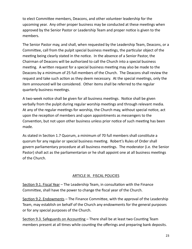to elect Committee members, Deacons, and other volunteer leadership for the upcoming year. Any other proper business may be conducted at these meetings when approved by the Senior Pastor or Leadership Team and proper notice is given to the members.

The Senior Pastor may, and shall, when requested by the Leadership Team, Deacons, or a Committee, call from the pulpit special business meetings, the particular object of the meeting being clearly stated in the notice. In the absence of a Senior Pastor, the Chairman of Deacons will be authorized to call the Church into a special business meeting. A written request for a special business meeting may also be made to the Deacons by a minimum of 25 full members of the Church. The Deacons shall review the request and take such action as they deem necessary. At the special meetings, only the item announced will be considered. Other items shall be referred to the regular quarterly business meetings.

A two-week notice shall be given for all business meetings. Notice shall be given verbally from the pulpit during regular worship meetings and through relevant media. At any of the regular meetings for worship, the Church may, without special notice, act upon the reception of members and upon appointments as messengers to the Convention, but not upon other business unless prior notice of such meeting has been made.

As stated in Section 1.7 Quorum, a minimum of 70 full members shall constitute a quorum for any regular or special business meeting. Robert's Rules of Order shall govern parliamentary procedure at all business meetings. The moderator (i.e. the Senior Pastor) shall act as the parliamentarian or he shall appoint one at all business meetings of the Church.

# ARTICLE IX. FISCAL POLICIES

Section 9.1. Fiscal Year – The Leadership Team, in consultation with the Finance Committee, shall have the power to change the fiscal year of the Church.

Section 9.2. Endowments – The Finance Committee, with the approval of the Leadership Team, may establish on behalf of the Church any endowments for the general purposes or for any special purposes of the Church.

Section 9.3. Safeguards on Accounting – There shall be at least two Counting Team members present at all times while counting the offerings and preparing bank deposits.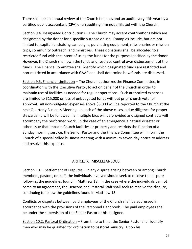There shall be an annual review of the Church finances and an audit every fifth year by a certified public accountant (CPA) or an auditing firm not affiliated with the Church.

Section 9.4. Designated Contributions – The Church may accept contributions which are designated by the donor for a specific purpose or use. Examples include, but are not limited to, capital fundraising campaigns, purchasing equipment, missionaries or mission trips, community outreach, and ministries. These donations shall be allocated to a restricted fund with the intent of using the funds for the purpose specified by the donor. However, the Church shall own the funds and reserves control over disbursement of the funds. The Finance Committee shall identify which designated funds are restricted and non-restricted in accordance with GAAP and shall determine how funds are disbursed.

Section 9.5. Financial Limitation – The Church authorizes the Finance Committee, in coordination with the Executive Pastor, to act on behalf of the Church in order to maintain use of facilities as needed for regular operations. Such authorized expenses are limited to \$15,000 or less of unbudgeted funds without prior church vote for approval. All non-budgeted expenses above \$5,000 will be reported to the Church at the next Quarterly Business Meeting. In each of the above cases, a due diligence for proper stewardship will be followed, i.e. multiple bids will be provided and signed contracts will accompany the performed work. In the case of an emergency, a natural disaster or other issue that impacts Church facilities or property and restricts the function of a Sunday morning service, the Senior Pastor and the Finance Committee will inform the Church of a special called business meeting with a minimum seven-day notice to address and resolve this expense.

#### ARTICLE X. MISCELLANEOUS

Section 10.1. Settlement of Disputes – In any dispute arising between or among Church members, pastors, or staff, the individuals involved should seek to resolve the dispute following the guidelines found in Matthew 18. In the case where the individuals cannot come to an agreement, the Deacons and Pastoral Staff shall seek to resolve the dispute, continuing to follow the guidelines found in Matthew 18.

Conflicts or disputes between paid employees of the Church shall be addressed in accordance with the provisions of the Personnel Handbook. The paid employees shall be under the supervision of the Senior Pastor or his designee.

Section 10.2. Pastoral Ordination – From time to time, the Senior Pastor shall identify men who may be qualified for ordination to pastoral ministry. Upon his